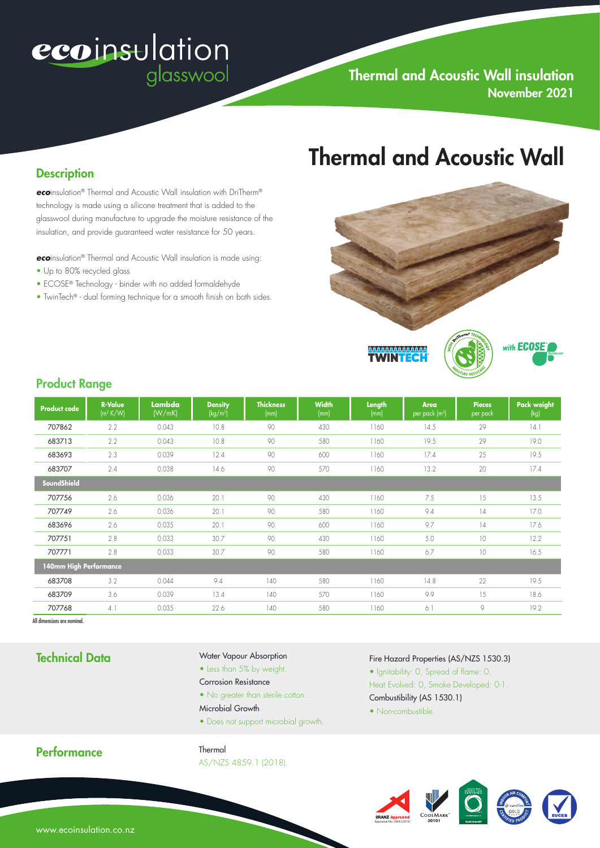# ecoinsulation glasswool

#### **Description**

*eco*insulation® Thermal and Acoustic Wall insulation with DriTherm® technology is made using a silicone treatment that is added to the glasswool during manufacture to upgrade the moisture resistance of the insulation, and provide guaranteed water resistance for 50 years.

*eco*insulation® Thermal and Acoustic Wall insulation is made using:

- Up to 80% recycled glass
- ECOSE® Technology binder with no added formaldehyde
- TwinTech® dual forming technique for a smooth finish on both sides.

# Thermal and Acoustic Wall



### Product Range

| <b>Product code</b>    | <b>R-Value</b><br>$\left(\frac{m^2 K}{W}\right)$ | Lambda<br>(W/mK) | <b>Density</b><br>(kg/m <sup>3</sup> ) | <b>Thickness</b><br>(mm) | <b>Width</b><br>(mm) | Length<br>(mm) | <b>Area</b><br>per pack (m <sup>2</sup> ) | <b>Pieces</b><br>per pack | <b>Pack weight</b><br>(kg) |
|------------------------|--------------------------------------------------|------------------|----------------------------------------|--------------------------|----------------------|----------------|-------------------------------------------|---------------------------|----------------------------|
| 707862                 | 2.2                                              | 0.043            | 10.8                                   | 90                       | 430                  | 1160           | 14.5                                      | 29                        | 14.1                       |
| 683713                 | 2.2                                              | 0.043            | 10.8                                   | 90                       | 580                  | 1160           | 19.5                                      | 29                        | 19.0                       |
| 683693                 | 2.3                                              | 0.039            | 12.4                                   | 90                       | 600                  | 1160           | 17.4                                      | 25                        | 19.5                       |
| 683707                 | 2.4                                              | 0.038            | 14.6                                   | 90                       | 570                  | 1160           | 13.2                                      | 20                        | 17.4                       |
| SoundShield            |                                                  |                  |                                        |                          |                      |                |                                           |                           |                            |
| 707756                 | 2.6                                              | 0.036            | 20.1                                   | 90                       | 430                  | 1160           | 7.5                                       | 15                        | 13.5                       |
| 707749                 | 2.6                                              | 0.036            | 20.1                                   | 90                       | 580                  | 1160           | 9.4                                       | $\frac{1}{4}$             | 17.0                       |
| 683696                 | 2.6                                              | 0.035            | 20.1                                   | 90                       | 600                  | 1160           | 9.7                                       | 4                         | 17.6                       |
| 707751                 | 2.8                                              | 0.033            | 30.7                                   | 90                       | 430                  | 1160           | 5.0                                       | 10                        | 12.2                       |
| 707771                 | 2.8                                              | 0.033            | 30.7                                   | 90                       | 580                  | 1160           | 6.7                                       | 10                        | 16.5                       |
| 140mm High Performance |                                                  |                  |                                        |                          |                      |                |                                           |                           |                            |
| 683708                 | 3.2                                              | 0.044            | 9.4                                    | 140                      | 580                  | 1160           | 14.8                                      | 22                        | 19.5                       |
| 683709                 | 3.6                                              | 0.039            | 13.4                                   | 140                      | 570                  | 1160           | 9.9                                       | 15                        | 18.6                       |
| 707768                 | 4.1                                              | 0.035            | 22.6                                   | 140                      | 580                  | 1160           | 6.1                                       | 9                         | 19.2                       |

All dimensions are nominal.

# Technical Data

#### Water Vapour Absorption

- Less than 5% by weight.
- Corrosion Resistance
- No greater than sterile cotton.
- Microbial Growth
- Does not support microbial growth.

#### Fire Hazard Properties (AS/NZS 1530.3)

- Ignitability: 0, Spread of flame: 0.
- Heat Evolved: 0, Smoke Developed: 0-1. Combustibility (AS 1530.1)
- Non-combustible.



Thermal AS/NZS 4859.1 (2018).